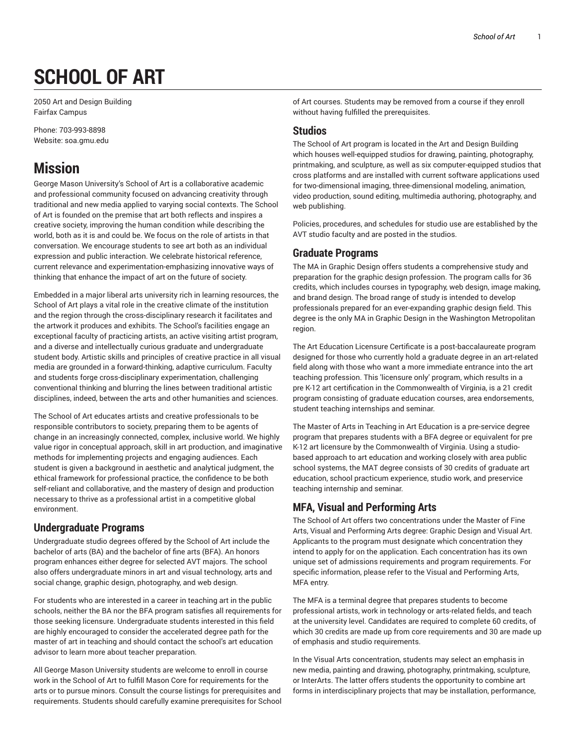# **SCHOOL OF ART**

2050 Art and Design Building Fairfax Campus

Phone: 703-993-8898 Website: soa.gmu.edu

## **Mission**

George Mason University's School of Art is a collaborative academic and professional community focused on advancing creativity through traditional and new media applied to varying social contexts. The School of Art is founded on the premise that art both reflects and inspires a creative society, improving the human condition while describing the world, both as it is and could be. We focus on the role of artists in that conversation. We encourage students to see art both as an individual expression and public interaction. We celebrate historical reference, current relevance and experimentation-emphasizing innovative ways of thinking that enhance the impact of art on the future of society.

Embedded in a major liberal arts university rich in learning resources, the School of Art plays a vital role in the creative climate of the institution and the region through the cross-disciplinary research it facilitates and the artwork it produces and exhibits. The School's facilities engage an exceptional faculty of practicing artists, an active visiting artist program, and a diverse and intellectually curious graduate and undergraduate student body. Artistic skills and principles of creative practice in all visual media are grounded in a forward-thinking, adaptive curriculum. Faculty and students forge cross-disciplinary experimentation, challenging conventional thinking and blurring the lines between traditional artistic disciplines, indeed, between the arts and other humanities and sciences.

The School of Art educates artists and creative professionals to be responsible contributors to society, preparing them to be agents of change in an increasingly connected, complex, inclusive world. We highly value rigor in conceptual approach, skill in art production, and imaginative methods for implementing projects and engaging audiences. Each student is given a background in aesthetic and analytical judgment, the ethical framework for professional practice, the confidence to be both self-reliant and collaborative, and the mastery of design and production necessary to thrive as a professional artist in a competitive global environment.

#### **Undergraduate Programs**

Undergraduate studio degrees offered by the School of Art include the bachelor of arts (BA) and the bachelor of fine arts (BFA). An honors program enhances either degree for selected AVT majors. The school also offers undergraduate minors in art and visual technology, arts and social change, graphic design, photography, and web design.

For students who are interested in a career in teaching art in the public schools, neither the BA nor the BFA program satisfies all requirements for those seeking licensure. Undergraduate students interested in this field are highly encouraged to consider the accelerated degree path for the master of art in teaching and should contact the school's art education advisor to learn more about teacher preparation.

All George Mason University students are welcome to enroll in course work in the School of Art to fulfill Mason Core for requirements for the arts or to pursue minors. Consult the course listings for prerequisites and requirements. Students should carefully examine prerequisites for School

of Art courses. Students may be removed from a course if they enroll without having fulfilled the prerequisites.

### **Studios**

The School of Art program is located in the Art and Design Building which houses well-equipped studios for drawing, painting, photography, printmaking, and sculpture, as well as six computer-equipped studios that cross platforms and are installed with current software applications used for two-dimensional imaging, three-dimensional modeling, animation, video production, sound editing, multimedia authoring, photography, and web publishing.

Policies, procedures, and schedules for studio use are established by the AVT studio faculty and are posted in the studios.

### **Graduate Programs**

The MA in Graphic Design offers students a comprehensive study and preparation for the graphic design profession. The program calls for 36 credits, which includes courses in typography, web design, image making, and brand design. The broad range of study is intended to develop professionals prepared for an ever-expanding graphic design field. This degree is the only MA in Graphic Design in the Washington Metropolitan region.

The Art Education Licensure Certificate is a post-baccalaureate program designed for those who currently hold a graduate degree in an art-related field along with those who want a more immediate entrance into the art teaching profession. This 'licensure only' program, which results in a pre K-12 art certification in the Commonwealth of Virginia, is a 21 credit program consisting of graduate education courses, area endorsements, student teaching internships and seminar.

The Master of Arts in Teaching in Art Education is a pre-service degree program that prepares students with a BFA degree or equivalent for pre K-12 art licensure by the Commonwealth of Virginia. Using a studiobased approach to art education and working closely with area public school systems, the MAT degree consists of 30 credits of graduate art education, school practicum experience, studio work, and preservice teaching internship and seminar.

## **MFA, Visual and Performing Arts**

The School of Art offers two concentrations under the Master of Fine Arts, Visual and Performing Arts degree: Graphic Design and Visual Art. Applicants to the program must designate which concentration they intend to apply for on the application. Each concentration has its own unique set of admissions requirements and program requirements. For specific information, please refer to the Visual and Performing Arts, MFA entry.

The MFA is a terminal degree that prepares students to become professional artists, work in technology or arts-related fields, and teach at the university level. Candidates are required to complete 60 credits, of which 30 credits are made up from core requirements and 30 are made up of emphasis and studio requirements.

In the Visual Arts concentration, students may select an emphasis in new media, painting and drawing, photography, printmaking, sculpture, or InterArts. The latter offers students the opportunity to combine art forms in interdisciplinary projects that may be installation, performance,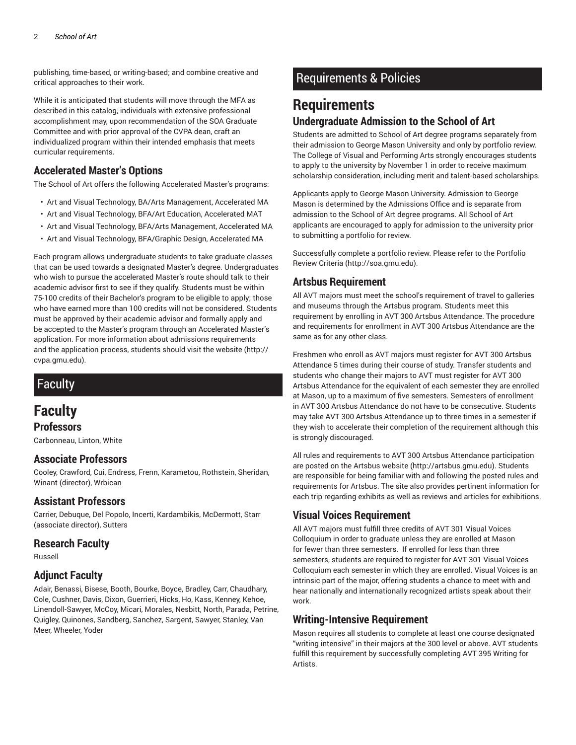publishing, time-based, or writing-based; and combine creative and critical approaches to their work.

While it is anticipated that students will move through the MFA as described in this catalog, individuals with extensive professional accomplishment may, upon recommendation of the SOA Graduate Committee and with prior approval of the CVPA dean, craft an individualized program within their intended emphasis that meets curricular requirements.

#### **Accelerated Master's Options**

The School of Art offers the following Accelerated Master's programs:

- Art and Visual Technology, BA/Arts Management, Accelerated MA
- Art and Visual Technology, BFA/Art Education, Accelerated MAT
- Art and Visual Technology, BFA/Arts Management, Accelerated MA
- Art and Visual Technology, BFA/Graphic Design, Accelerated MA

Each program allows undergraduate students to take graduate classes that can be used towards a designated Master's degree. Undergraduates who wish to pursue the accelerated Master's route should talk to their academic advisor first to see if they qualify. Students must be within 75-100 credits of their Bachelor's program to be eligible to apply; those who have earned more than 100 credits will not be considered. Students must be approved by their academic advisor and formally apply and be accepted to the Master's program through an Accelerated Master's application. For more information about admissions requirements and the application process, students should visit the website (http:// cvpa.gmu.edu).

## Faculty

## **Faculty**

**Professors**

Carbonneau, Linton, White

#### **Associate Professors**

Cooley, Crawford, Cui, Endress, Frenn, Karametou, Rothstein, Sheridan, Winant (director), Wrbican

#### **Assistant Professors**

Carrier, Debuque, Del Popolo, Incerti, Kardambikis, McDermott, Starr (associate director), Sutters

#### **Research Faculty**

Russell

#### **Adjunct Faculty**

Adair, Benassi, Bisese, Booth, Bourke, Boyce, Bradley, Carr, Chaudhary, Cole, Cushner, Davis, Dixon, Guerrieri, Hicks, Ho, Kass, Kenney, Kehoe, Linendoll-Sawyer, McCoy, Micari, Morales, Nesbitt, North, Parada, Petrine, Quigley, Quinones, Sandberg, Sanchez, Sargent, Sawyer, Stanley, Van Meer, Wheeler, Yoder

## Requirements & Policies

## **Requirements Undergraduate Admission to the School of Art**

Students are admitted to School of Art degree programs separately from their admission to George Mason University and only by portfolio review. The College of Visual and Performing Arts strongly encourages students to apply to the university by November 1 in order to receive maximum scholarship consideration, including merit and talent-based scholarships.

Applicants apply to George Mason University. Admission to George Mason is determined by the Admissions Office and is separate from admission to the School of Art degree programs. All School of Art applicants are encouraged to apply for admission to the university prior to submitting a portfolio for review.

Successfully complete a portfolio review. Please refer to the Portfolio Review Criteria (http://soa.gmu.edu).

#### **Artsbus Requirement**

All AVT majors must meet the school's requirement of travel to galleries and museums through the Artsbus program. Students meet this requirement by enrolling in AVT 300 Artsbus Attendance. The procedure and requirements for enrollment in AVT 300 Artsbus Attendance are the same as for any other class.

Freshmen who enroll as AVT majors must register for AVT 300 Artsbus Attendance 5 times during their course of study. Transfer students and students who change their majors to AVT must register for AVT 300 Artsbus Attendance for the equivalent of each semester they are enrolled at Mason, up to a maximum of five semesters. Semesters of enrollment in AVT 300 Artsbus Attendance do not have to be consecutive. Students may take AVT 300 Artsbus Attendance up to three times in a semester if they wish to accelerate their completion of the requirement although this is strongly discouraged.

All rules and requirements to AVT 300 Artsbus Attendance participation are posted on the Artsbus website (http://artsbus.gmu.edu). Students are responsible for being familiar with and following the posted rules and requirements for Artsbus. The site also provides pertinent information for each trip regarding exhibits as well as reviews and articles for exhibitions.

#### **Visual Voices Requirement**

All AVT majors must fulfill three credits of AVT 301 Visual Voices Colloquium in order to graduate unless they are enrolled at Mason for fewer than three semesters. If enrolled for less than three semesters, students are required to register for AVT 301 Visual Voices Colloquium each semester in which they are enrolled. Visual Voices is an intrinsic part of the major, offering students a chance to meet with and hear nationally and internationally recognized artists speak about their work.

#### **Writing-Intensive Requirement**

Mason requires all students to complete at least one course designated "writing intensive" in their majors at the 300 level or above. AVT students fulfill this requirement by successfully completing AVT 395 Writing for **Artists**